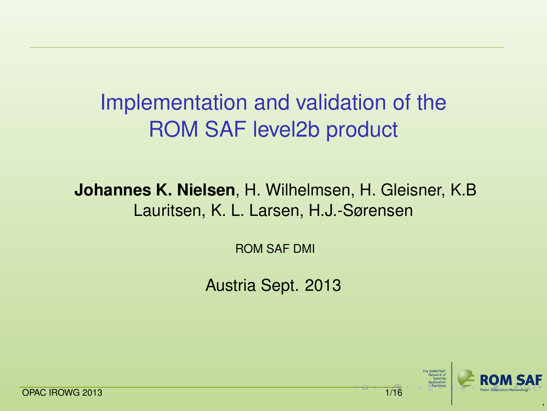# Implementation and validation of the ROM SAF level2b product

#### **Johannes K. Nielsen**, H. Wilhelmsen, H. Gleisner, K.B Lauritsen, K. L. Larsen, H.J.-Sørensen

ROM SAF DMI

Austria Sept. 2013

<span id="page-0-0"></span>,

**A FUNETS** 

OPAC IROWG 2013 **1/16**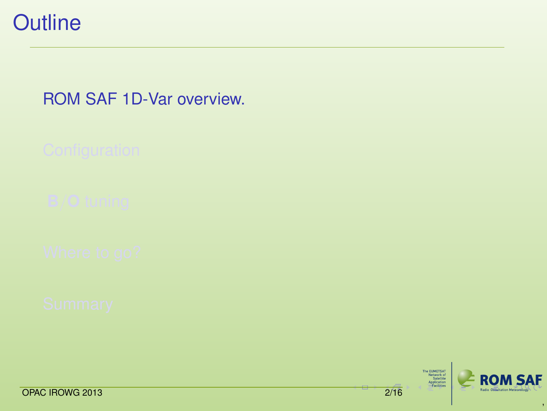

### [ROM SAF 1D-Var overview.](#page-1-0)

The EUNETSAT<br>Network of<br>Sanelite<br>Application<br>—Facilities



<span id="page-1-0"></span>,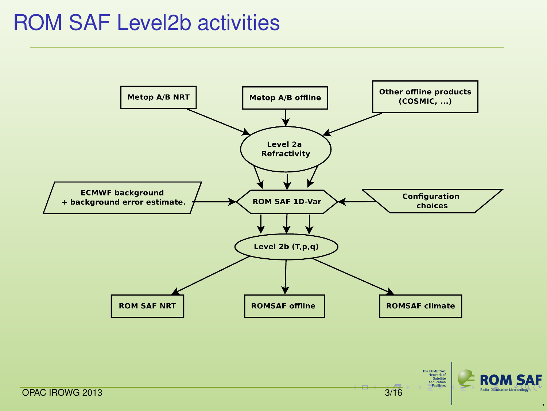## ROM SAF Level2b activities



<span id="page-2-0"></span>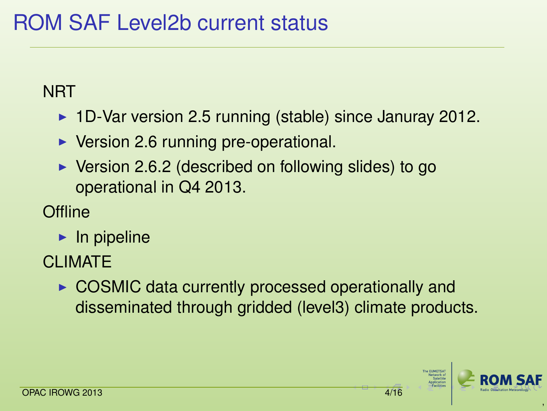### **NRT**

- $\blacktriangleright$  1D-Var version 2.5 running (stable) since Januray 2012.
- $\triangleright$  Version 2.6 running pre-operational.
- $\triangleright$  Version 2.6.2 (described on following slides) to go operational in Q4 2013.
- **Offline** 
	- $\blacktriangleright$  In pipeline
- CLIMATE
	- $\triangleright$  COSMIC data currently processed operationally and disseminated through gridded (level3) climate products.

<span id="page-3-0"></span>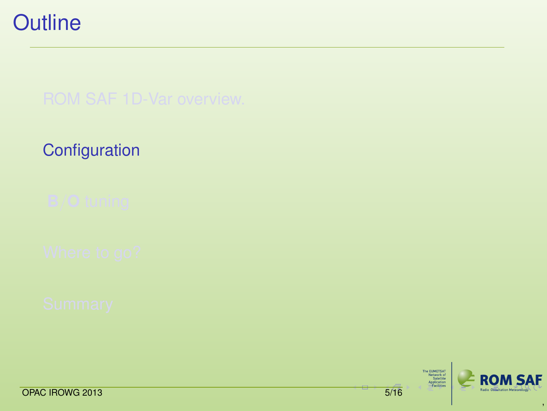## **[Configuration](#page-4-0)**

<span id="page-4-0"></span>The EUMETSAT<br>Network of<br>SaneTite<br>Application<br>—Facilities **ROM SAF** 

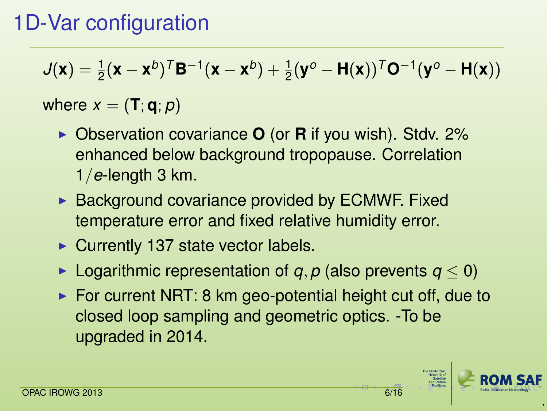# 1D-Var configuration

$$
J(\boldsymbol{x}) = \tfrac{1}{2}(\boldsymbol{x} - \boldsymbol{x}^b)^T \boldsymbol{B}^{-1}(\boldsymbol{x} - \boldsymbol{x}^b) + \tfrac{1}{2}(\boldsymbol{y}^o - \boldsymbol{H}(\boldsymbol{x}))^T \boldsymbol{O}^{-1}(\boldsymbol{y}^o - \boldsymbol{H}(\boldsymbol{x}))
$$

### where  $x = (\mathbf{T}; \mathbf{q}; p)$

- ► Observation covariance **O** (or **R** if you wish). Stdv. 2% enhanced below background tropopause. Correlation 1/*e*-length 3 km.
- $\triangleright$  Background covariance provided by ECMWF. Fixed temperature error and fixed relative humidity error.
- $\triangleright$  Currently 137 state vector labels.
- **►** Logarithmic representation of *q*, *p* (also prevents  $q < 0$ )
- $\triangleright$  For current NRT: 8 km geo-potential height cut off, due to closed loop sampling and geometric optics. -To be upgraded in 2014.

<span id="page-5-0"></span>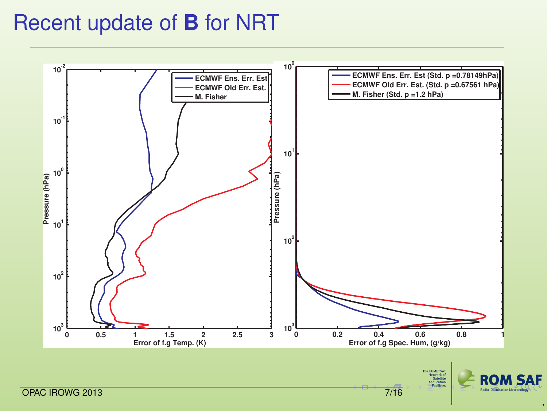# Recent update of **B** for NRT



<span id="page-6-0"></span>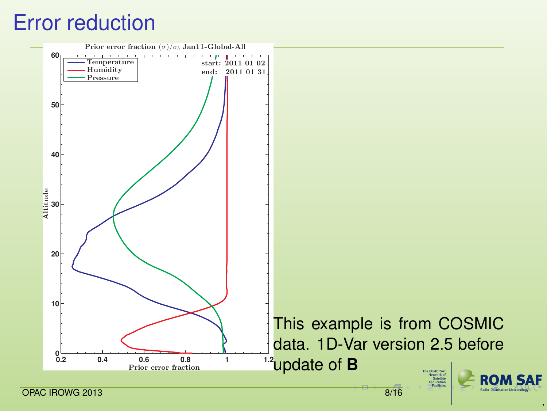## Error reduction



<span id="page-7-0"></span>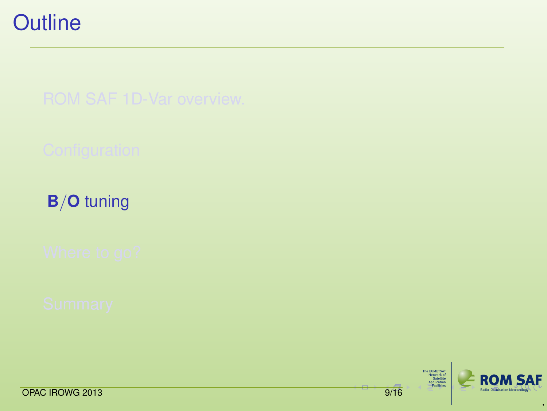**B**/**O** [tuning](#page-8-0)

The EUMETSAT<br>Network of<br>SaneTite<br>Application<br>—Facilities



<span id="page-8-0"></span>,

OPAC IROWG 2013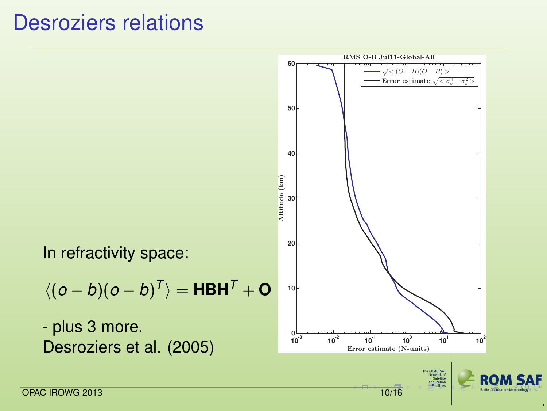## Desroziers relations

<span id="page-9-0"></span>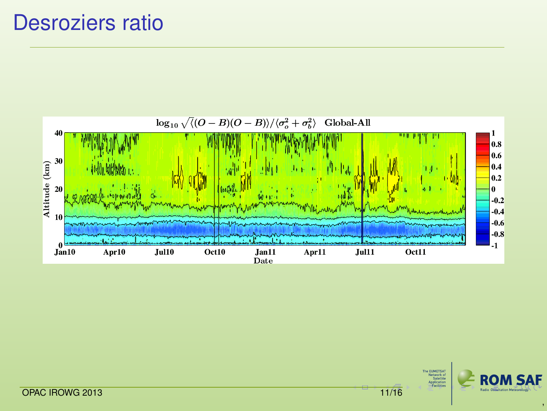## Desroziers ratio



The EUNETSAT<br>Network of<br>Satellite<br>Application<br>—Pacifities ROM SAF

<span id="page-10-0"></span>,

**OPACIROWG 2013** [11](#page-9-0)[/16](#page-10-0)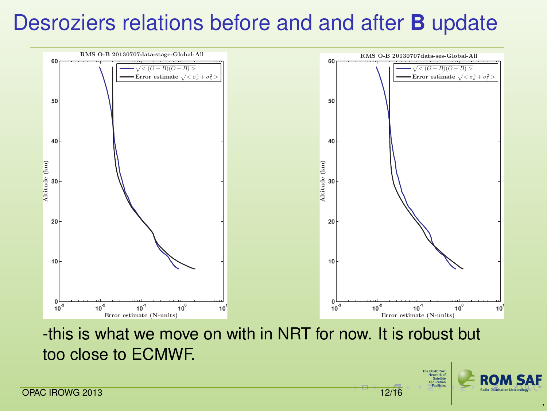# Desroziers relations before and and after **B** update



-this is what we move on with in NRT for now. It is robust but too close to ECMWF.

> The EUNETSAT<br>Network of<br>Satellite Application Forthern



<span id="page-11-0"></span>,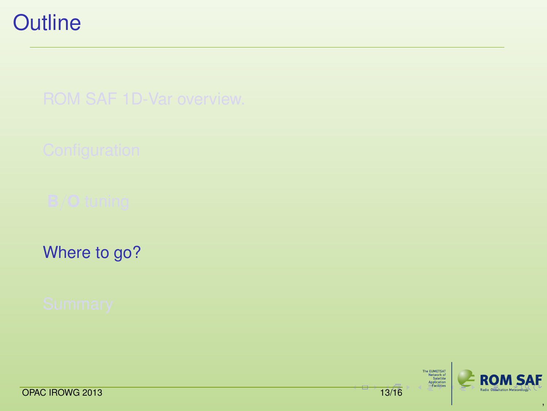[Where to go?](#page-12-0)

The EUNETSAT<br>Network of<br>Sanelite<br>Application<br>—Facilities



<span id="page-12-0"></span>,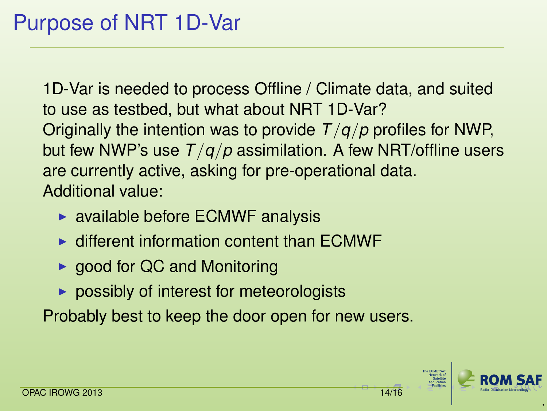1D-Var is needed to process Offline / Climate data, and suited to use as testbed, but what about NRT 1D-Var? Originally the intention was to provide *T*/*q*/*p* profiles for NWP, but few NWP's use *T*/*q*/*p* assimilation. A few NRT/offline users are currently active, asking for pre-operational data. Additional value:

- $\triangleright$  available before ECMWF analysis
- $\triangleright$  different information content than ECMWF
- $\triangleright$  good for QC and Monitoring
- <span id="page-13-0"></span> $\triangleright$  possibly of interest for meteorologists

Probably best to keep the door open for new users.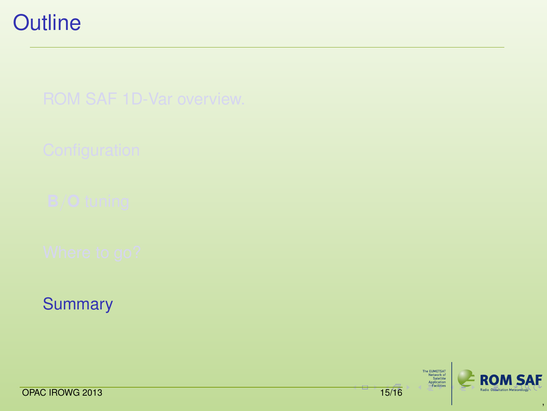**[Summary](#page-14-0)** 

The EUMETSAT<br>Network of<br>SaneTite<br>Application<br>—Facilities



<span id="page-14-0"></span>,